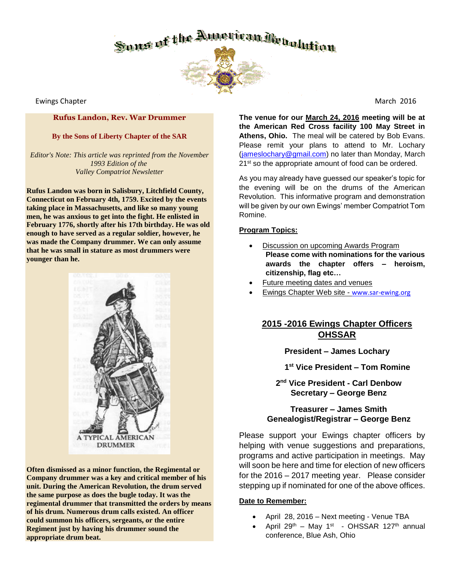

Ewings Chapter March 2016

#### **Rufus Landon, Rev. War Drummer**

#### **By the Sons of Liberty Chapter of the SAR**

*Editor's Note: This article was reprinted from the November 1993 Edition of the Valley Compatriot Newsletter*

**Rufus Landon was born in Salisbury, Litchfield County, Connecticut on February 4th, 1759. Excited by the events taking place in Massachusetts, and like so many young men, he was anxious to get into the fight. He enlisted in February 1776, shortly after his 17th birthday. He was old enough to have served as a regular soldier, however, he was made the Company drummer. We can only assume that he was small in stature as most drummers were younger than he.**



**Often dismissed as a minor function, the Regimental or Company drummer was a key and critical member of his unit. During the American Revolution, the drum served the same purpose as does the bugle today. It was the regimental drummer that transmitted the orders by means of his drum. Numerous drum calls existed. An officer could summon his officers, sergeants, or the entire Regiment just by having his drummer sound the appropriate drum beat.**

**The venue for our March 24, 2016 meeting will be at the American Red Cross facility 100 May Street in Athens, Ohio.** The meal will be catered by Bob Evans. Please remit your plans to attend to Mr. Lochary [\(jameslochary@gmail.com\)](mailto:jameslochary@gmail.com) no later than Monday, March 21<sup>st</sup> so the appropriate amount of food can be ordered.

As you may already have guessed our speaker's topic for the evening will be on the drums of the American Revolution. This informative program and demonstration will be given by our own Ewings' member Compatriot Tom Romine.

#### **Program Topics:**

- Discussion on upcoming Awards Program **Please come with nominations for the various awards the chapter offers – heroism, citizenship, flag etc…**
- Future meeting dates and venues
- Ewings Chapter Web site [www.sar-ewing.org](http://www.sar-ewing.org/)

## **2015 -2016 Ewings Chapter Officers OHSSAR**

**President – James Lochary** 

 **1 st Vice President – Tom Romine**

**2 nd Vice President - Carl Denbow Secretary – George Benz**

### **Treasurer – James Smith Genealogist/Registrar – George Benz**

Please support your Ewings chapter officers by helping with venue suggestions and preparations, programs and active participation in meetings. May will soon be here and time for election of new officers for the 2016 – 2017 meeting year. Please consider stepping up if nominated for one of the above offices.

#### **Date to Remember:**

- April 28, 2016 Next meeting Venue TBA
- April 29<sup>th</sup> May 1<sup>st</sup> OHSSAR 127<sup>th</sup> annual conference, Blue Ash, Ohio